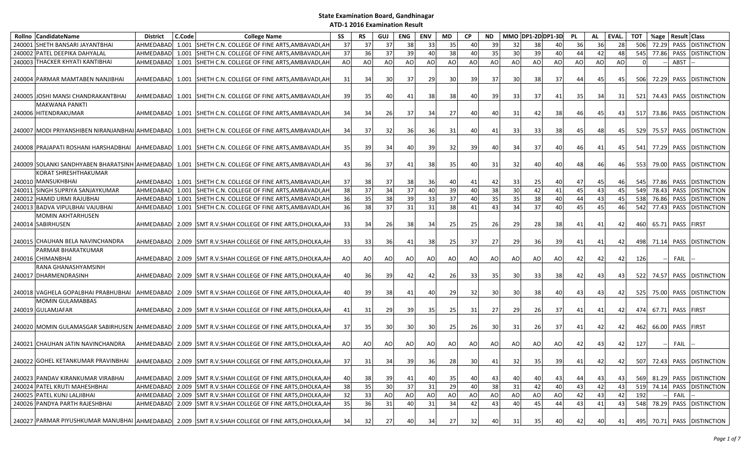| Rollno | <b>CandidateName</b>                               | <b>District</b> | C.Code | <b>College Name</b>                                                                                  | SS    | <b>RS</b> | GUJ             | ENG             | <b>ENV</b> | <b>MD</b>       | <b>CP</b> | <b>ND</b> |           |                 | MMO DP1-2DDP1-3D | <b>PL</b> | AL  | EVAL. | <b>TOT</b> | %age                 | Result Class |                            |
|--------|----------------------------------------------------|-----------------|--------|------------------------------------------------------------------------------------------------------|-------|-----------|-----------------|-----------------|------------|-----------------|-----------|-----------|-----------|-----------------|------------------|-----------|-----|-------|------------|----------------------|--------------|----------------------------|
| 240001 | SHETH BANSARI JAYANTBHAI                           | AHMEDABAD       | 1.001  | SHETH C.N. COLLEGE OF FINE ARTS, AMBAVADI, AH                                                        | 37    | 37        | 37              | 38              | 33         | 35              | 40        | 39        | 32        | 38              | 40               | 36        | 36  | 28    | 506        | 72.29                | PASS         | <b>DISTINCTION</b>         |
|        | 240002 PATEL DEEPIKA DAHYALAL                      | AHMEDABAD       | 1.001  | SHETH C.N. COLLEGE OF FINE ARTS, AMBAVADI, AH                                                        | 37    | 36        | 37              | 39              | 40         | 38              | 40        | 35        | 30        | 39              | 40               | 44        | 42  | 48    | 545        | 77.86                | <b>PASS</b>  | <b>DISTINCTION</b>         |
|        | 240003 THACKER KHYATI KANTIBHAI                    | AHMEDABAD       | 1.001  | SHETH C.N. COLLEGE OF FINE ARTS, AMBAVADI, AH                                                        | AO    | AO        | <b>AO</b>       | AO              | AO         | <b>AO</b>       | AO        | AO        | AO        | AO              | AO               | AO        | AO  | AO    | $\Omega$   |                      | ABST         |                            |
|        | 240004 PARMAR MAMTABEN NANJIBHAI                   | AHMEDABAD       |        | 1.001 SHETH C.N. COLLEGE OF FINE ARTS.AMBAVADI.AH                                                    | 31    | 34        | 30              | 37              | 29         | 30              | 39        | 37        | 30        | 38              | 37               | 44        | 45  | 45    | 506        | 72.29                |              | PASS DISTINCTION           |
|        | 240005 JJOSHI MANSI CHANDRAKANTBHAI                | AHMEDABAD       |        | 1.001 SHETH C.N. COLLEGE OF FINE ARTS, AMBAVADI, AH                                                  | 39    | 35        | 40              | 41              | 38         | 38              | 40        | 39        | 33        | 37              | 41               | 35        | 34  | 31    | 521        | 74.43                | PASS         | <b>DISTINCTION</b>         |
|        | <b>MAKWANA PANKTI</b><br>240006 HITENDRAKUMAR      |                 |        | AHMEDABAD 1.001 SHETH C.N. COLLEGE OF FINE ARTS, AMBAVADI, AH                                        | 34    | 34        | <b>26</b>       | 37              | 34         | 27 <sup>1</sup> | 40        | 40        | 31        | 42              | 38               | 46        | 45  | 43    | 517        |                      |              | 73.86 PASS DISTINCTION     |
|        | 240007  MODI PRIYANSHIBEN NIRANJANBHAI   AHMEDABAD |                 |        | 1.001 SHETH C.N. COLLEGE OF FINE ARTS, AMBAVADI, AH                                                  | 34    | 37        | 32              | 36              | 36         | 31              | 40        | 41        | 33        | 33              | 38               | 45        | 48  | 45    | 529        |                      |              | 75.57 PASS DISTINCTION     |
|        | 240008 PRAJAPATI ROSHANI HARSHADBHAI               |                 |        | AHMEDABAD 1.001 SHETH C.N. COLLEGE OF FINE ARTS, AMBAVADI, AH                                        | 35    | 39        | 34              | 40              | 39         | 32              | 39        | 40        | 34        | 37              | 40               | 46        | 41  | 45    | 541        | 77.29                |              | PASS DISTINCTION           |
|        |                                                    |                 |        | 240009 SOLANKI SANDHYABEN BHARATSINH AHMEDABAD   1.001 SHETH C.N. COLLEGE OF FINE ARTS, AMBAVADI, AH | 43    | 36        | 37              | 41              | 38         | 35              | 40        | 31        | 32        | 40              | 40               | 48        | 46  | 46    | 553        | 79.00                |              | PASS DISTINCTION           |
|        | KORAT SHRESHTHAKUMAR<br>240010 MANSUKHBHAI         | AHMEDABAD       |        | 1.001 SHETH C.N. COLLEGE OF FINE ARTS, AMBAVADI, AH                                                  | 37    | 38        | 37              | 38 <sup>l</sup> | 36         | 40              | 41        | 42        | 33        | 25              | 40               | 47        | 45  | 46    | 545        | 77.86I               | PASS         | <b>DISTINCTION</b>         |
|        | 240011 SINGH SUPRIYA SANJAYKUMAR                   | AHMEDABAD       |        | 1.001 SHETH C.N. COLLEGE OF FINE ARTS, AMBAVADI, AH                                                  | 38    | 37        | 34              | 37              | 40         | 39              | 40        | 38        | 30        | 42              | 41               | 45        | 43  | 45    | 549        | 78.43                | PASS         | <b>DISTINCTION</b>         |
|        | 240012 HAMID URMI RAJUBHAI                         | AHMEDABAD       |        | 1.001 SHETH C.N. COLLEGE OF FINE ARTS, AMBAVADI, AH                                                  | 36    | 35        | 38              | 39              | 33         | 37              | 40        | 35        | 35        | 38              | 40               | 44        | 43  | 45    | 538        | 76.86                | <b>PASS</b>  | <b>DISTINCTION</b>         |
|        | 240013 BADVA VIPULBHAI VAJUBHAI                    | AHMEDABAD       | 1.001  | SHETH C.N. COLLEGE OF FINE ARTS, AMBAVADI, AH                                                        | 36    | 38        | 37              | 31              | 31         | 38 <sup>l</sup> | 41        | 43        | 34        | 37              | 40               | 45        | 45  | 46    | 542        | 77.43                | <b>PASS</b>  | <b>DISTINCTION</b>         |
|        | <b>MOMIN AKHTARHUSEN</b>                           |                 |        |                                                                                                      |       |           |                 |                 |            |                 |           |           |           |                 |                  |           |     |       |            |                      |              |                            |
|        | 240014 SABIRHUSEN                                  |                 |        | AHMEDABAD 2.009 SMT R.V.SHAH COLLEGE OF FINE ARTS, DHOLKA, AH                                        | 33    | 34        | <b>26</b>       | 38              | 34         | <b>25</b>       | 25        | 26        | 29        | 28              | 38               | 41        | 41  | 42    |            | 460 65.71 PASS FIRST |              |                            |
|        | 240015 CHAUHAN BELA NAVINCHANDRA                   |                 |        | AHMEDABAD   2.009 SMT R.V.SHAH COLLEGE OF FINE ARTS, DHOLKA, AH                                      | 33    | 33        | 36              | 41              | 38         | 25              | 37        | 27        | 29        | 36              | 39               | 41        | 41  | 42 I  | 498        |                      |              | 71.14 PASS DISTINCTION     |
|        | PARMAR BHARATKUMAR<br>240016 CHIMANBHAI            |                 |        | AHMEDABAD 2.009 SMT R.V.SHAH COLLEGE OF FINE ARTS, DHOLKA, AH                                        | AO    | AO        | <b>AO</b>       | AO              | AO         | AO              | AO        | AO        | <b>AO</b> | <b>AO</b>       | AO               | 42        | 42  | 42    | 126        |                      | <b>FAIL</b>  |                            |
|        | RANA GHANASHYAMSINH<br>240017 DHARMENDRASINH       |                 |        | AHMEDABAD 2.009 SMT R.V.SHAH COLLEGE OF FINE ARTS, DHOLKA, AH                                        | 40    | 36        | 39 <sub>l</sub> | 42              | 42         | 26              | 33        | 35        | 30        | 33              | 38               | 42        | 43  | 43    | 522        |                      |              | 74.57 PASS DISTINCTION     |
|        | 240018 VAGHELA GOPALBHAI PRABHUBHAI                | AHMEDABAD       |        | 2.009 SMT R.V.SHAH COLLEGE OF FINE ARTS, DHOLKA, AH                                                  | 40    | 39        | 38              | 41              | 40         | 29              | 32        | 30        | 30        | 38              | 40               | 43        | 43  | 42    | 525        | 75.00                |              | PASS DISTINCTION           |
|        | <b>MOMIN GULAMABBAS</b><br>240019 GULAMJAFAR       | AHMEDABAD       |        | 2.009 SMT R.V.SHAH COLLEGE OF FINE ARTS, DHOLKA, AH                                                  | 41    | 31        | 29              | 39              | 35         | 25              | 31        | 27        | 29        | 26              | 37               | 41        | 41  | 42    | 474        | 67.71                | PASS FIRST   |                            |
|        |                                                    |                 |        | 240020 MOMIN GULAMASGAR SABIRHUSEN AHMEDABAD 2.009 SMT R.V.SHAH COLLEGE OF FINE ARTS, DHOLKA, AH     | 37    | 35        | 30I             | 30 <sup>l</sup> | 30         | 25              | 26        | 30        | 31        | 26              | 37               | 41        | 42  | 42    | 462        | 66.00                | PASS FIRST   |                            |
|        | 240021 CHAUHAN JATIN NAVINCHANDRA                  | AHMEDABAD       |        | 2.009 SMT R.V.SHAH COLLEGE OF FINE ARTS, DHOLKA, AH                                                  | AO    | AO        | AO              | AO              | AO         | AO.             | AO        | AO        | AO        | AO              | AO               | 42        | 43  | 42    | 127        |                      | <b>FAIL</b>  |                            |
|        | 240022 GOHEL KETANKUMAR PRAVINBHAI                 |                 |        | AHMEDABAD 2.009 SMT R.V.SHAH COLLEGE OF FINE ARTS, DHOLKA, AH                                        | -37 I | 31        | 34 <sup>l</sup> | 39              | 36         | <b>28</b>       | 30        | 41        | 32        | 35 <sup>1</sup> | 39               | 41        | 421 | 42    |            |                      |              | 507 72.43 PASS DISTINCTION |
|        | 240023 PANDAV KIRANKUMAR VIRABHAI                  |                 |        | AHMEDABAD 2.009 SMT R.V.SHAH COLLEGE OF FINE ARTS, DHOLKA, AH                                        | 40    | 38        | 39              | 41              | 40         | 35              | 40        | 43        | 40        | 40              | 43               | 44        | 43  | 43    | 569        | 81.29                |              | PASS DISTINCTION           |
|        | 240024 PATEL KRUTI MAHESHBHAI                      | AHMEDABAD       |        | 2.009 SMT R.V.SHAH COLLEGE OF FINE ARTS, DHOLKA, AH                                                  | 38    | 35        | $\overline{30}$ | 37              | 31         | 29              | 40        | 38        | 31        | 42              | 40               | 43        | 42  | 43    | 519        | 74.14                | PASS         | <b>DISTINCTION</b>         |
|        | 240025 PATEL KUNJ LALJIBHAI                        | AHMEDABAD       |        | 2.009 SMT R.V.SHAH COLLEGE OF FINE ARTS, DHOLKA, AH                                                  | 32    | 33        | AO              | AO              | AO         | AO              | <b>AO</b> | AO        | AO        | AO              | AO               | 42        | 43  | 42    | 192        |                      | FAIL         |                            |
|        | 240026 PANDYA PARTH RAJESHBHAI                     | AHMEDABAD       |        | 2.009 SMT R.V.SHAH COLLEGE OF FINE ARTS, DHOLKA, AH                                                  | 35    | 36        | 31              | 40              | 31         | 34              | 42        | 43        | 40        | 45              | 44               | 43        | 41  | 43    | 548        | 78.29                | PASS         | <b>DISTINCTION</b>         |
|        |                                                    |                 |        | 240027 PARMAR PIYUSHKUMAR MANUBHAI AHMEDABAD 2.009 SMT R.V.SHAH COLLEGE OF FINE ARTS, DHOLKA, AH     | 34    | 32        | 27              | 40              | 34         | 27              | 32        | 40        | 31        | 35 <sub>l</sub> | 40               | 42        | 40  | 41    |            |                      |              | 495 70.71 PASS DISTINCTION |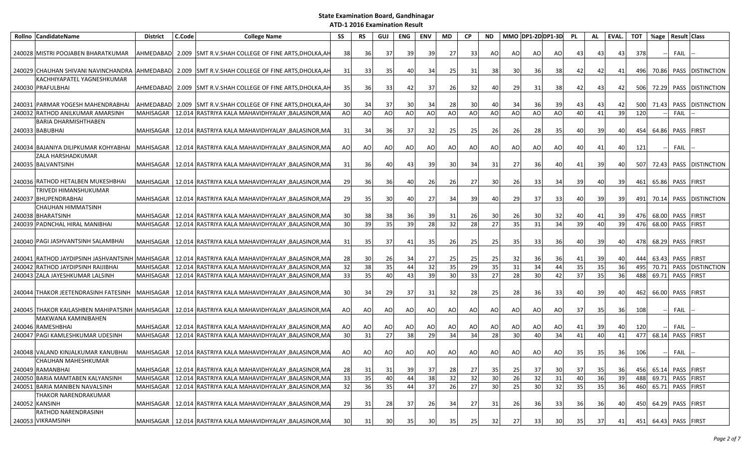| Rollno CandidateName                                          | <b>District</b>  | C.Code | <b>College Name</b>                                                                               | SS | RS | GUJ             | ENG   | <b>ENV</b> | MD  | <b>CP</b> | <b>ND</b>       |                 |                | MMO DP1-2D DP1-3D | <b>PL</b> | AL              | EVAL. | <b>TOT</b> | %age                 | <b>Result Class</b> |                        |
|---------------------------------------------------------------|------------------|--------|---------------------------------------------------------------------------------------------------|----|----|-----------------|-------|------------|-----|-----------|-----------------|-----------------|----------------|-------------------|-----------|-----------------|-------|------------|----------------------|---------------------|------------------------|
|                                                               |                  |        |                                                                                                   |    |    |                 |       |            |     |           |                 |                 |                |                   |           |                 |       |            |                      |                     |                        |
| 240028 MISTRI POOJABEN BHARATKUMAR                            |                  |        | AHMEDABAD 2.009 SMT R.V.SHAH COLLEGE OF FINE ARTS, DHOLKA, AH                                     | 38 | 36 | 37              | 39    | 39         | 27  | 33        | AO              | AO              | AO             | AO                | 43        | 43              | 43    | 378        |                      | FAIL                |                        |
|                                                               |                  |        |                                                                                                   |    |    |                 |       |            |     |           |                 |                 |                |                   |           |                 |       |            |                      |                     |                        |
|                                                               |                  |        | 240029 CHAUHAN SHIVANI NAVINCHANDRA AHMEDABAD 2.009 SMT R.V.SHAH COLLEGE OF FINE ARTS, DHOLKA, AH | 31 | 33 | 35 <sup>1</sup> | 40    | 34         | 25  | 31        | 38              | 30 <sup>l</sup> | 36             | 38                | 42        | 42              | 41    | 496        | 70.86                |                     | PASS DISTINCTION       |
| KACHHIYAPATEL YAGNESHKUMAR                                    |                  |        |                                                                                                   |    |    |                 |       |            |     |           |                 |                 |                |                   |           |                 |       |            |                      |                     |                        |
| 240030 PRAFULBHAI                                             |                  |        | AHMEDABAD 2.009 SMT R.V.SHAH COLLEGE OF FINE ARTS, DHOLKA, AH                                     | 35 | 36 | 33              | 42    | 37         | 26  | 32        | 40              | 29              | 31             | 38                | 42        | 43              | 42    | 506        | 72.29                |                     | PASS DISTINCTION       |
| 240031 PARMAR YOGESH MAHENDRABHAI                             |                  |        | AHMEDABAD 2.009 SMT R.V.SHAH COLLEGE OF FINE ARTS, DHOLKA, AH                                     | 30 | 34 | 37              | 30    | 34         | -28 | 30        | 40              | 34              | 36             | -39               | 43        | 43              | 42    | 500        | 71.43                |                     | PASS DISTINCTION       |
| 240032 RATHOD ANILKUMAR AMARSINH                              | <b>MAHISAGAR</b> |        | 12.014 RASTRIYA KALA MAHAVIDHYALAY , BALASINOR, MA                                                | AO | AO | AO              | AO    | AO         | AO  | AO        | <b>AO</b>       | AO              | A <sub>O</sub> | AO                | 40        | 41              | 39    | 120        |                      | <b>FAIL</b>         |                        |
| BARIA DHARMISHTHABEN                                          |                  |        |                                                                                                   |    |    |                 |       |            |     |           |                 |                 |                |                   |           |                 |       |            |                      |                     |                        |
| 240033 BABUBHAI                                               | <b>MAHISAGAR</b> |        | 12.014 RASTRIYA KALA MAHAVIDHYALAY ,BALASINOR,MA                                                  | 31 | 34 | 36              | 37    | 32         | 25  | 25        | 26              | 26              | 28             | 35                | 40        | 39              | 40    | 454        | 64.86                | PASS FIRST          |                        |
|                                                               |                  |        |                                                                                                   |    |    |                 |       |            |     |           |                 |                 |                |                   |           |                 |       |            |                      |                     |                        |
| 240034 BAJANIYA DILIPKUMAR KOHYABHAI                          | <b>MAHISAGAR</b> |        | 12.014 RASTRIYA KALA MAHAVIDHYALAY , BALASINOR, MA                                                | AO | AO | AO              | AO    | AO         | AO  | AO        | AO              | <b>AO</b>       | AO             | AO                | 40        | 41              | 40    | 121        |                      | FAIL                |                        |
| <b>ZALA HARSHADKUMAR</b>                                      |                  |        |                                                                                                   |    |    |                 |       |            |     |           |                 |                 |                |                   |           |                 |       |            |                      |                     |                        |
| 240035 BALVANTSINH                                            | MAHISAGAR        |        | 12.014 RASTRIYA KALA MAHAVIDHYALAY ,BALASINOR,MA                                                  | 31 | 36 | 40              | 43    | 39         | 30  | 34        | 31              | 27              | 36             | 40                | 41        | 39              | 40    | 507        |                      |                     | 72.43 PASS DISTINCTION |
|                                                               |                  |        |                                                                                                   |    |    |                 |       |            |     |           |                 |                 |                |                   |           |                 |       |            |                      |                     |                        |
| 240036 RATHOD HETALBEN MUKESHBHAI                             | <b>MAHISAGAR</b> |        | 12.014 RASTRIYA KALA MAHAVIDHYALAY .BALASINOR.MA                                                  | 29 | 36 | 36              | 40    | 26         | 26  | 27        | 30              | 26              | 33             | -34               | 39        | 40              | 39    | 461        | 65.86                | PASS FIRST          |                        |
| <b>TRIVEDI HIMANSHUKUMAR</b>                                  |                  |        |                                                                                                   |    |    |                 |       |            |     |           |                 |                 |                |                   |           |                 |       |            |                      |                     |                        |
| 240037 BHUPENDRABHAI                                          | <b>MAHISAGAR</b> |        | 12.014 RASTRIYA KALA MAHAVIDHYALAY , BALASINOR, MA                                                | 29 | 35 | 30 <sup>1</sup> | 40    | 27         | 34  | 39        | 40              | 29              | 37             | -33               | 40        | -39             | 39    | 491        | 70.14                |                     | PASS DISTINCTION       |
| CHAUHAN HIMMATSINH                                            |                  |        |                                                                                                   |    |    |                 |       |            |     |           |                 |                 |                |                   |           |                 |       |            |                      |                     |                        |
| 240038 BHARATSINH                                             | <b>MAHISAGAR</b> |        | 12.014 RASTRIYA KALA MAHAVIDHYALAY , BALASINOR, MA                                                | 30 | 38 | 38              | 36    | 39         | 31  | 26        | 30 <sup>1</sup> | 26              | 30             | 32                | 40        | 41              | 39    | 476        | 68.00                | PASS FIRST          |                        |
| 240039 PADNCHAL HIRAL MANIBHAI                                | MAHISAGAR        |        | 12.014 RASTRIYA KALA MAHAVIDHYALAY .BALASINOR.MA                                                  | 30 | 39 | 35              | 39    | 28         | 32  | 28        | 27              | 35              | 31             | 34                | 39        | 40              | 39    | 476        | 68.00                | PASS FIRST          |                        |
|                                                               |                  |        |                                                                                                   |    |    |                 |       |            |     |           |                 |                 |                |                   |           |                 |       |            |                      |                     |                        |
| 240040 PAGI JASHVANTSINH SALAMBHAI                            | <b>MAHISAGAR</b> |        | 12.014 RASTRIYA KALA MAHAVIDHYALAY , BALASINOR, MA                                                | 31 | 35 | 37              | 41    | 35         | 26  | 25        | 25              | 35 <sub>l</sub> | 33             | 36                | 40        | 39              | 40    | 478        | 68.29                | PASS FIRST          |                        |
| 240041 RATHOD JAYDIPSINH JASHVANTSINH MAHISAGAR               |                  |        | 12.014 RASTRIYA KALA MAHAVIDHYALAY , BALASINOR, MA                                                | 28 | 30 | <b>26</b>       | 34    | 27         | 25  | 25        | 25              | 32              | 36             | 36                | 41        | 39              | 40    | 444        |                      | 63.43 PASS FIRST    |                        |
| 240042 RATHOD JAYDIPSINH RAIJIBHAI                            | MAHISAGAR        |        | 12.014 RASTRIYA KALA MAHAVIDHYALAY , BALASINOR, MA                                                | 32 | 38 | 35              | 44    | 32         | 35  | 29        | 35              | 31              | 34             | 44                | 35        | 35              | 36    | 495        | 70.71                |                     | PASS DISTINCTION       |
| 240043 ZALA JAYESHKUMAR LALSINH                               | <b>MAHISAGAR</b> |        | 12.014 RASTRIYA KALA MAHAVIDHYALAY , BALASINOR, MA                                                | 33 | 35 | 40              | 43    | 39         | 30  | 33        | 27              | 28              | 30             | 42                | 37        | $\overline{35}$ | 36    | 488        | 69.71                | PASS FIRST          |                        |
|                                                               |                  |        |                                                                                                   |    |    |                 |       |            |     |           |                 |                 |                |                   |           |                 |       |            |                      |                     |                        |
| 240044 THAKOR JEETENDRASINH FATESINH MAHISAGAR                |                  |        | 12.014 RASTRIYA KALA MAHAVIDHYALAY ,BALASINOR,MA                                                  | 30 | 34 | 29              | -37 I | 31         | 32  | 28        | 25              | 28              | 36             | 33                | 40        | 39              | 40    | 462        | 66.00                | PASS FIRST          |                        |
|                                                               |                  |        |                                                                                                   |    |    |                 |       |            |     |           |                 |                 |                |                   |           |                 |       |            |                      |                     |                        |
| 240045 THAKOR KAILASHBEN MAHIPATSINH MAHISAGAR                |                  |        | 12.014 RASTRIYA KALA MAHAVIDHYALAY ,BALASINOR,MA                                                  | AO | AO | AO              | AO    | AO         | AO  | AO        | AO              | AO              | AO             | AO                | 37        | 35              | 36    | 108        |                      | FAIL                |                        |
| MAKWANA KAMINIBAHEN                                           |                  |        |                                                                                                   |    |    |                 |       |            |     |           |                 |                 |                |                   |           |                 |       |            |                      |                     |                        |
| 240046 RAMESHBHAI                                             | MAHISAGAR        |        | 12.014 RASTRIYA KALA MAHAVIDHYALAY ,BALASINOR,MA                                                  | AO | AO | AO              | AO    | AO         | AO  | AO        | AO              | AO              | AO             | AO                | 41        | 39              | 40    | 120        |                      | FAIL                |                        |
| 240047 PAGI KAMLESHKUMAR UDESINH                              | <b>MAHISAGAR</b> |        | 12.014 RASTRIYA KALA MAHAVIDHYALAY , BALASINOR, MA                                                | 30 | 31 | 27              | 38    | 29         | 34  | 34        | 28              | 30              | 40             | 34                | 41        | 40              | 41    | 477        | 68.14                | PASS FIRST          |                        |
|                                                               |                  |        |                                                                                                   |    |    |                 |       |            |     |           |                 |                 |                |                   |           |                 |       |            |                      |                     |                        |
| 240048 VALAND KINJALKUMAR KANUBHAI                            | <b>MAHISAGAR</b> |        | 12.014 RASTRIYA KALA MAHAVIDHYALAY , BALASINOR, MA                                                | AO | AO | AO              | AO    | AO         | AO  | AO        | AO              | AO              | AO             | AO                | 35        | 35              | 36    | 106        |                      | <b>FAIL</b>         |                        |
| CHAUHAN MAHESHKUMAR                                           |                  |        |                                                                                                   |    |    |                 |       |            |     |           |                 |                 |                |                   |           |                 |       |            |                      |                     |                        |
| 240049 RAMANBHAI                                              | MAHISAGAR        |        | 12.014 RASTRIYA KALA MAHAVIDHYALAY , BALASINOR, MA                                                | 28 | 31 | 31              | 39    | 37         | 28  | 27        | 35              | 25              | 37             | 30                | 37        | 35              | 36    | 456        |                      | 65.14 PASS FIRST    |                        |
| 240050 BARIA MAMTABEN KALYANSINH                              | MAHISAGAR        |        | 12.014 RASTRIYA KALA MAHAVIDHYALAY , BALASINOR, MA                                                | 33 | 35 | 40              | 44    | 38         | 32  | 32        | 30              | 26              | 32             | 31                | 40        | 36              | 39    | 488        |                      | 69.71 PASS FIRST    |                        |
| 240051 BARIA MANIBEN NAVALSINH<br><b>THAKOR NARENDRAKUMAR</b> | <b>MAHISAGAR</b> |        | 12.014 RASTRIYA KALA MAHAVIDHYALAY , BALASINOR, MA                                                | 32 | 36 | 35              | 44    | 37         | 26  | 27        | 30              | 25              | 30             | 32                | 35        | 35              | 36    | 460        |                      | 65.71 PASS FIRST    |                        |
| 240052 KANSINH                                                | <b>MAHISAGAR</b> |        | 12.014 RASTRIYA KALA MAHAVIDHYALAY ,BALASINOR,MA                                                  | 29 | 31 | 28              | 37    | 26         | 34  | 27        | 31              | 26              | 36             | 33                | 36        | 36              | 40    | 450        | 64.29                | PASS FIRST          |                        |
| <b>RATHOD NARENDRASINH</b>                                    |                  |        |                                                                                                   |    |    |                 |       |            |     |           |                 |                 |                |                   |           |                 |       |            |                      |                     |                        |
| 240053 VIKRAMSINH                                             | MAHISAGAR        |        | 12.014  RASTRIYA KALA MAHAVIDHYALAY ,BALASINOR,MA                                                 | 30 | 31 | 30 <sup>1</sup> | 35    | 30         | 35  | 25        | 32              | 27              | 33             | -30 l             | 35        | 37              | 41    |            | 451 64.43 PASS FIRST |                     |                        |
|                                                               |                  |        |                                                                                                   |    |    |                 |       |            |     |           |                 |                 |                |                   |           |                 |       |            |                      |                     |                        |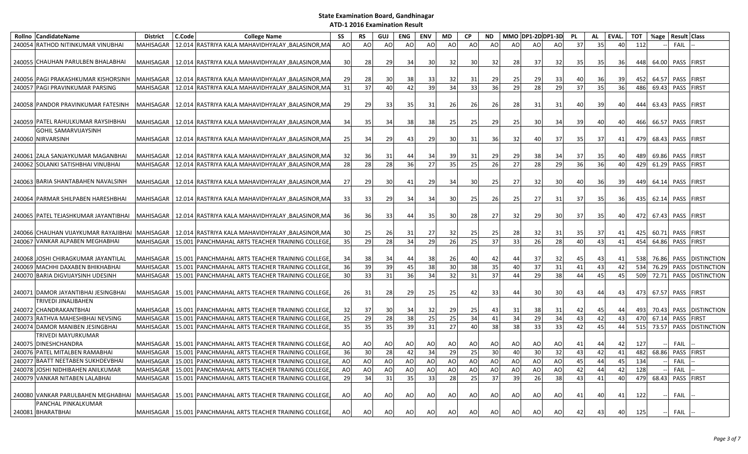|        | Rollno CandidateName                                      | <b>District</b>  | C.Code | <b>College Name</b>                                            | SS | <b>RS</b>      | GUJ | ENG       | <b>ENV</b>   | MD  | <b>CP</b>       | <b>ND</b> | MMO DP1-2DDP1-3D |           |     | <b>PL</b> | AL     | EVAL. | <b>TOT</b> | %age  | Result Class     |                        |
|--------|-----------------------------------------------------------|------------------|--------|----------------------------------------------------------------|----|----------------|-----|-----------|--------------|-----|-----------------|-----------|------------------|-----------|-----|-----------|--------|-------|------------|-------|------------------|------------------------|
|        | 240054 RATHOD NITINKUMAR VINUBHAI                         | <b>MAHISAGAR</b> |        | 12.014 RASTRIYA KALA MAHAVIDHYALAY , BALASINOR, MA             | AO | AO             | AO  | <b>AO</b> | AO           | AO  | AO              | AO        | AO               | AO        | AO  | 37        | 35     | 40    | 112        |       | FAIL             |                        |
|        |                                                           |                  |        |                                                                |    |                |     |           |              |     |                 |           |                  |           |     |           |        |       |            |       |                  |                        |
|        | 240055 CHAUHAN PARULBEN BHALABHAI                         |                  |        | MAHISAGAR   12.014 RASTRIYA KALA MAHAVIDHYALAY , BALASINOR, MA | 30 | 28             | 29  | 34        | 30           | 32  | 30              | 32        | 28               | 37        | 32  | 35        | 35     | 36    | 448        |       | 64.00 PASS FIRST |                        |
|        | 240056 PAGI PRAKASHKUMAR KISHORSINH                       |                  |        | MAHISAGAR   12.014  RASTRIYA KALA MAHAVIDHYALAY ,BALASINOR,MA  | 29 | 28             | 30  | 38        | 33           | 32  | 31              | 29        | 25               | 29        | 33  | 40        | 36     | 39    | 452        | 64.57 | PASS FIRST       |                        |
|        | 240057 PAGI PRAVINKUMAR PARSING                           | MAHISAGAR        |        | 12.014 RASTRIYA KALA MAHAVIDHYALAY , BALASINOR, MA             | 31 | 37             | 40  | 42        | 39           | 34  | $\overline{33}$ | 36        | 29               | 28        | 29  | 37        | 35     | 36    | 486        | 69.43 | PASS FIRST       |                        |
|        | 240058 PANDOR PRAVINKUMAR FATESINH                        | <b>MAHISAGAR</b> |        | 12.014 RASTRIYA KALA MAHAVIDHYALAY ,BALASINOR,MA               | 29 | 29             | 33  | 35        | 31           | 26  | <b>26</b>       | <b>26</b> | 28               | 31        | 31  | 40        | 39     | 40    | 444        | 63.43 | PASS FIRST       |                        |
|        | 240059 PATEL RAHULKUMAR RAYSIHBHAI                        |                  |        | MAHISAGAR   12.014  RASTRIYA KALA MAHAVIDHYALAY ,BALASINOR,MA  | 34 | 35             | 34  | 38        | 38           | 25  | 25              | 29        | 25               | 30        | 34  | 39        | 40     | 40    | 466        | 66.57 | PASS FIRST       |                        |
|        | GOHIL SAMARVIJAYSINH                                      |                  |        |                                                                |    |                |     |           |              |     |                 |           |                  |           |     |           |        |       |            |       |                  |                        |
|        | 240060 NIRVARSINH                                         | MAHISAGAR        |        | 12.014 RASTRIYA KALA MAHAVIDHYALAY ,BALASINOR,MA               | 25 | 34             | 29  | 43        | 29           | 30  | 31              | 36        | 32               | 40        | 37  | 35        | 37     | 41    | 479        | 68.43 | PASS FIRST       |                        |
|        | 240061 ZALA SANJAYKUMAR MAGANBHAI                         | MAHISAGAR        |        | 12.014 RASTRIYA KALA MAHAVIDHYALAY ,BALASINOR,MA               | 32 | 36             | 31  | 44        | 34           | 39  | 31              | 29        | 29               | 38        | 34  | 37        | 35     | 40    | 489        | 69.86 | PASS FIRST       |                        |
|        | 240062 SOLANKI SATISHBHAI VINUBHAI                        | <b>MAHISAGAR</b> |        | 12.014 RASTRIYA KALA MAHAVIDHYALAY , BALASINOR, MA             | 28 | 28             | 28  | 36        | 27           | 35  | 25              | 26        | 27               | 28        | 29  | 36        | 36     | 40    | 429        | 61.29 | PASS FIRST       |                        |
|        |                                                           |                  |        |                                                                |    |                |     |           |              |     |                 |           |                  |           |     |           |        |       |            |       |                  |                        |
|        | 240063 BARIA SHANTABAHEN NAVALSINH                        | MAHISAGAR        |        | 12.014  RASTRIYA KALA MAHAVIDHYALAY ,BALASINOR,MA              | 27 | 29             | 30  | 41        | 29           | 34  | 30              | <b>25</b> | 27               | 32        | 30  | 40        | 36     | -391  | 449        | 64.14 | PASS FIRST       |                        |
|        | 240064 PARMAR SHILPABEN HARESHBHAI                        |                  |        | MAHISAGAR   12.014 RASTRIYA KALA MAHAVIDHYALAY , BALASINOR, MA | 33 | 33             | 29  | 34        | 34           | 30  | 25              | <b>26</b> | 25               | 27        | 31  | 37        | 35     | 36    | 435        | 62.14 | PASS FIRST       |                        |
|        | 240065 PATEL TEJASHKUMAR JAYANTIBHAI                      | MAHISAGAR        |        | 12.014 RASTRIYA KALA MAHAVIDHYALAY ,BALASINOR,MA               | 36 | 36             | 33  | 44        | -35 <b>S</b> | 30  | 28              | 27        | 32               | 29        | 30  | 37        | 35     | 40    | 472        | 67.43 | PASS FIRST       |                        |
|        | 240066 CHAUHAN VIJAYKUMAR RAYAJIBHAI MAHISAGAR            |                  |        | 12.014   RASTRIYA KALA MAHAVIDHYALAY , BALASINOR, MA           | 30 | 25             | 26  | 31        | 27           | 32  | 25              | 25        | 28               | 32        | 31  | 35        | 37     | 41    | 425        |       | 60.71 PASS FIRST |                        |
|        | 240067 VANKAR ALPABEN MEGHABHAI                           | <b>MAHISAGAR</b> |        | 15.001 PANCHMAHAL ARTS TEACHER TRAINING COLLEGE                | 35 | 29             | 28  | 34        | 29           | 26  | 25              | 37        | 33               | 26        | 28  | 40        | 43     | 41    | 454        |       | 64.86 PASS FIRST |                        |
|        | 240068 JJOSHI CHIRAGKUMAR JAYANTILAL                      | MAHISAGAR        |        | 15.001 PANCHMAHAL ARTS TEACHER TRAINING COLLEGE                | 34 | 38             | 34  | 44        | 38           | -26 | 40              | 42        | 44               | 37        | -32 | 45        | 43     | 41    | 538        |       |                  | 76.86 PASS DISTINCTION |
| 240069 | MACHHI DAXABEN BHIKHABHAI                                 | <b>MAHISAGAR</b> |        | 15.001 PANCHMAHAL ARTS TEACHER TRAINING COLLEGE                | 36 | 39             | 39  | 45        | 38           | 30  | 38              | 35        | 40               | 37        | 31  | 41        | 43     | 42    | 534        | 76.29 |                  | PASS DISTINCTION       |
|        | 240070 BARIA DIGVIJAYSINH UDESINH                         | <b>MAHISAGAR</b> |        | 15.001 PANCHMAHAL ARTS TEACHER TRAINING COLLEGE                | 30 | 33             | 31  | 36        | 34           | 32  | 31              | 37        | 44               | 29        | 38  | 44        | 45     | 45    | 509        | 72.71 |                  | PASS DISTINCTION       |
|        | 240071 DAMOR JAYANTIBHAI JESINGBHAI                       | <b>MAHISAGAR</b> |        | 15.001 PANCHMAHAL ARTS TEACHER TRAINING COLLEGE                | 26 | 31             | 28  | 29        | 25           | 25  | 42              | 33        | 44               | 30        | 30  | 43        | 44     | 43    | 473        | 67.57 | PASS FIRST       |                        |
|        | TRIVEDI JINALIBAHEN                                       |                  |        |                                                                |    |                |     |           |              |     |                 |           |                  |           |     |           |        |       |            |       |                  |                        |
| 240072 | CHANDRAKANTBHAI                                           | MAHISAGAR        |        | 15.001 PANCHMAHAL ARTS TEACHER TRAINING COLLEGE                | 32 | 37             | 30  | 34        | 32           | 29  | 25              | 43        | 31               | 38        | 31  | 42        | 45     | 44    | 493        | 70.43 |                  | PASS DISTINCTION       |
| 240073 | RATHVA MAHESHBHAI NEVSING                                 | <b>MAHISAGAR</b> |        | 15.001 PANCHMAHAL ARTS TEACHER TRAINING COLLEGE                | 25 | 29             | 28  | 38        | 25           | 25  | 34              | 41        | 34               | 29        | 34  | 43        | 42     | 43    | 470        | 67.14 | PASS             | <b>FIRST</b>           |
| 240074 | DAMOR MANIBEN JESINGBHAI                                  | <b>MAHISAGAR</b> |        | 15.001 PANCHMAHAL ARTS TEACHER TRAINING COLLEGE                | 35 | 35             | 35  | 39        | 31           | 27  | 40              | 38        | 38               | 33        | 33  | 42        | 45     | 44    | 515        | 73.57 |                  | PASS DISTINCTION       |
|        | TRIVEDI MAYURKUMAR                                        |                  |        |                                                                |    |                |     |           |              |     |                 |           |                  |           |     |           |        |       |            |       |                  |                        |
|        | 240075 DINESHCHANDRA                                      | <b>MAHISAGAR</b> |        | 15.001 PANCHMAHAL ARTS TEACHER TRAINING COLLEGE                | AO | AO             | AO  | AO        | AO           | AO  | AO              | AO        | AO               | AO        | AO  | 41        | 44     | 42    | 127        |       | FAIL             |                        |
|        | 240076 PATEL MITALBEN RAMABHAI                            | <b>MAHISAGAR</b> |        | 15.001 PANCHMAHAL ARTS TEACHER TRAINING COLLEGE                | 36 | 30             | 28  | 42        | 34           | 29  | 25              | 30        | 40               | 30        | 32  | 43        | 42     | 41    | 482        | 68.86 | PASS             | <b>FIRST</b>           |
| 240077 | BAATT NEETABEN SUKHDEVBHAI                                | <b>MAHISAGAR</b> |        | 15.001 PANCHMAHAL ARTS TEACHER TRAINING COLLEGE                | AO | AO             | AO  | AO        | AO           | AO  | AO              | AO        | AO               | AO        | AO  | 45        | 44     | 45    | 134        |       | FAIL             |                        |
| 240078 | JOSHI NIDHIBAHEN ANILKUMAR                                | <b>MAHISAGAR</b> |        | 15.001 PANCHMAHAL ARTS TEACHER TRAINING COLLEGE                | AO | A <sub>O</sub> | AO  | AO        | AO           | AO  | AO              | AO        | A <sub>O</sub>   | AO        | AO  | 42        | 44     | 42    | 128        |       | FAIL             |                        |
| 240079 | VANKAR NITABEN LALABHAI                                   | <b>MAHISAGAR</b> |        | 15.001 PANCHMAHAL ARTS TEACHER TRAINING COLLEGE                | 29 | 34             | 31  | 35        | 33           | 28  | 25              | 37        | 39               | 26        | 38  | 43        | $41\,$ | 40    | 479        | 68.43 | PASS             | <b>FIRST</b>           |
|        |                                                           |                  |        |                                                                |    |                |     |           |              |     |                 |           |                  |           |     |           |        |       |            |       |                  |                        |
|        | 240080 VANKAR PARULBAHEN MEGHABHAI<br>PANCHAL PINKALKUMAR |                  |        | MAHISAGAR   15.001  PANCHMAHAL ARTS TEACHER TRAINING COLLEGE   | AO | AO             | AO  | AO.       | AO           | AO  | AO              | AO        | AO               | AO        | AO  | 41        | 40     | 41    | 122        |       | FAIL             |                        |
|        | 240081 BHARATBHAI                                         |                  |        | MAHISAGAR   15.001  PANCHMAHAL ARTS TEACHER TRAINING COLLEGE,  | AO | AO             | AO  | <b>AO</b> | AO           | AO  | AO              | AO        | AO               | <b>AO</b> | AO  | 42        | 43     | 40    | 125        |       | FAIL             |                        |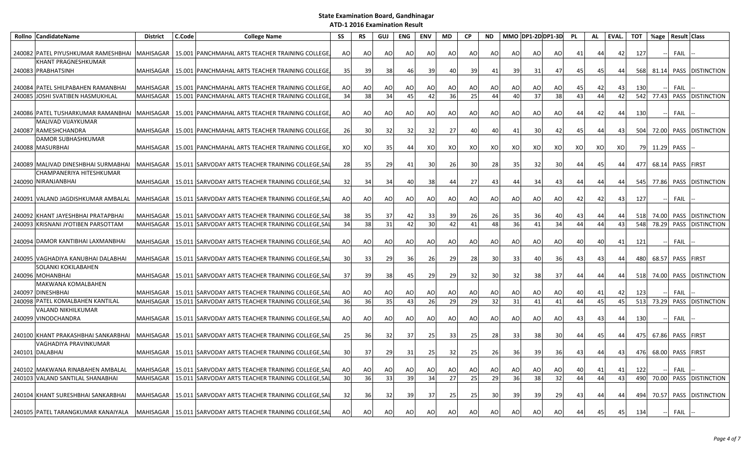| Rollno CandidateName                             | <b>District</b>  | C.Code | <b>College Name</b>                                            | SS | <b>RS</b>       | <b>GUJ</b>      | <b>ENG</b>      | <b>ENV</b>     | MD | <b>CP</b> | <b>ND</b> | MMO DP1-2D DP1-3D |    |     | <b>PL</b> | AL | EVAL. | <b>TOT</b> | %age  | <b>Result Class</b> |                  |
|--------------------------------------------------|------------------|--------|----------------------------------------------------------------|----|-----------------|-----------------|-----------------|----------------|----|-----------|-----------|-------------------|----|-----|-----------|----|-------|------------|-------|---------------------|------------------|
| 240082 PATEL PIYUSHKUMAR RAMESHBHAI              | MAHISAGAR        |        | 15.001 PANCHMAHAL ARTS TEACHER TRAINING COLLEGE                | AO | AO              | AO              | AO              | AO             | AO | AO        | AO        | <b>AO</b>         | AO | AO  | 41        | 44 | 42    | 127        |       | <b>FAIL</b>         |                  |
| <b>KHANT PRAGNESHKUMAR</b><br>240083 PRABHATSINH | <b>MAHISAGAR</b> |        | 15.001 PANCHMAHAL ARTS TEACHER TRAINING COLLEGE                | 35 | 39              | 38              | 46              | 39             | 40 | 39        | 41        | 39                | 31 | 47  | 45        | 45 | 44    | 568        | 81.14 |                     | PASS DISTINCTION |
| 240084 PATEL SHILPABAHEN RAMANBHAI               | <b>MAHISAGAR</b> |        | 15.001 PANCHMAHAL ARTS TEACHER TRAINING COLLEGE                | AO | AO              | AO              | AO              | AO             | AO | AO        | AO        | AO                | AO | AO  | 45        | 42 | 43    | 130        |       | <b>FAIL</b>         |                  |
| 240085 JOSHI SVATIBEN HASMUKHLAL                 | <b>MAHISAGAR</b> |        | 15.001 PANCHMAHAL ARTS TEACHER TRAINING COLLEGE                | 34 | 38              | 34              | 45              | 42             | 36 | 25        | 44        | 40                | 37 | 38  | 43        | 44 | 42    | 542        | 77.43 |                     | PASS DISTINCTION |
| 240086 PATEL TUSHARKUMAR RAMANBHAI MAHISAGAR     |                  |        | 15.001 PANCHMAHAL ARTS TEACHER TRAINING COLLEGE                | AO | AO              | AO              | AO              | A <sub>O</sub> | AO | AO        | AO        | AO                | AO | AO  | 44        | 42 | 44    | 130        |       | <b>FAIL</b>         |                  |
| MALIVAD VIJAYKUMAR                               |                  |        |                                                                |    |                 |                 |                 |                |    |           |           |                   |    |     |           |    |       |            |       |                     |                  |
| 240087 RAMESHCHANDRA                             | <b>MAHISAGAR</b> | 15.001 | PANCHMAHAL ARTS TEACHER TRAINING COLLEGE                       | 26 | 30              | 32              | 32              | 32             | 27 | 40        | 40        | 41                | 30 | 42  | 45        | 44 | 43    | 504        | 72.00 |                     | PASS DISTINCTION |
| DAMOR SUBHASHKUMAR<br>240088   MASURBHAI         | <b>MAHISAGAR</b> |        | 15.001 PANCHMAHAL ARTS TEACHER TRAINING COLLEGE                | XO | XO              | 35 <sub>1</sub> | 44              | XO             | XO | XO        | XO        | XO                | XO | xo  | XO        | XO | XO    | 79         | 11.29 | PASS                |                  |
| 240089 MALIVAD DINESHBHAI SURMABHAI              | MAHISAGAR        |        | 15.011 SARVODAY ARTS TEACHER TRAINING COLLEGE, SA              | 28 | 35              | 29              | 41              | 30             | 26 | 30        | 28        | 35                | 32 | 30  | 44        | 45 | 44    | 477        | 68.14 | PASS FIRST          |                  |
| CHAMPANERIYA HITESHKUMAR<br>240090 NIRANJANBHAI  | <b>MAHISAGAR</b> |        | 15.011 SARVODAY ARTS TEACHER TRAINING COLLEGE, SA              | 32 | 34              | 34              | 40              | 38             | 44 | 27        | 43        | 44                | 34 | 43  | 44        | 44 | 44    | 545        | 77.86 |                     | PASS DISTINCTION |
| 240091 VALAND JAGDISHKUMAR AMBALAL               | <b>MAHISAGAR</b> |        | 15.011 SARVODAY ARTS TEACHER TRAINING COLLEGE, SA              | AO | AO              | AO              | AO              | AO             | AO | AO        | AO        | <b>AO</b>         | AO | AO  | 42        | 42 | 43    | 127        |       | FAIL                |                  |
| 240092 KHANT JAYESHBHAI PRATAPBHAI               | <b>MAHISAGAR</b> |        | 15.011 SARVODAY ARTS TEACHER TRAINING COLLEGE, SA              | 38 | 35              | 37              | 42              | 33             | 39 | 26        | 26        | 35                | 36 | 40  | 43        | 44 | 44    | 518        | 74.00 |                     | PASS DISTINCTION |
| 240093 KRISNANI JYOTIBEN PARSOTTAM               | <b>MAHISAGAR</b> |        | 15.011 SARVODAY ARTS TEACHER TRAINING COLLEGE, SA              | 34 | 38              | 31              | 42              | 30             | 42 | 41        | 48        | 36                | 41 | 34  | 44        | 44 | 43    | 548        | 78.29 |                     | PASS DISTINCTION |
| 240094 DAMOR KANTIBHAI LAXMANBHAI                | <b>MAHISAGAR</b> |        | 15.011 SARVODAY ARTS TEACHER TRAINING COLLEGE.SA               | AO | AO              | AO              | AO              | AO             | AO | AO        | AO        | AO                | AO | AO  | 40        | 40 | 41    | 121        |       | FAIL                |                  |
| 240095 VAGHADIYA KANUBHAI DALABHAI               | <b>MAHISAGAR</b> |        | 15.011 SARVODAY ARTS TEACHER TRAINING COLLEGE, SA              | 30 | 33              | 29              | 36              | 26             | 29 | 28        | 30        | 33                | 40 | -36 | 43        | 43 | 44 I  | 480        | 68.57 | PASS FIRST          |                  |
| <b>SOLANKI KOKILABAHEN</b><br>240096 MOHANBHAI   | MAHISAGAR        |        | 15.011 SARVODAY ARTS TEACHER TRAINING COLLEGE, SAI             | 37 | 39              | 38              | 45              | 29             | 29 | 32        | 30        | 32                | 38 | 37  | 44        | 44 | 44    | 518        | 74.00 |                     | PASS DISTINCTION |
| <b>MAKWANA KOMALBAHEN</b><br>240097 DINESHBHAI   | <b>MAHISAGAR</b> |        | 15.011 SARVODAY ARTS TEACHER TRAINING COLLEGE, SA              | AO | AO              | AO              | AO              | AO             | AO | AO        | AO        | AO                | AO | AO  | 40        | 41 | 42    | 123        |       | <b>FAIL</b>         |                  |
| 240098 PATEL KOMALBAHEN KANTILAL                 | <b>MAHISAGAR</b> |        | 15.011 SARVODAY ARTS TEACHER TRAINING COLLEGE, SAI             | 36 | 36              | 35              | 43              | 26             | 29 | 29        | 32        | 31                | 41 | 41  | 44        | 45 | 45    | 513        | 73.29 |                     | PASS DISTINCTION |
| VALAND NIKHILKUMAR<br>240099 VINODCHANDRA        | <b>MAHISAGAR</b> |        | 15.011 SARVODAY ARTS TEACHER TRAINING COLLEGE, SAI             | AO | AO              | AO              | AO              | AO             | AO | AO.       | AO        | AO                | AO | AO  | 43        | 43 | 44    | 130        |       | FAIL                |                  |
| 240100 KHANT PRAKASHBHAI SANKARBHAI              | <b>MAHISAGAR</b> |        | 15.011 SARVODAY ARTS TEACHER TRAINING COLLEGE, SA              | 25 | 36              | 32              | 37 <sup>1</sup> | 25             | 33 | 25        | 28        | 33                | 38 | 30  | 44        | 45 | 44    | 475        | 67.86 | PASS FIRST          |                  |
| VAGHADIYA PRAVINKUMAR<br>240101 DALABHAI         | <b>MAHISAGAR</b> |        | 15.011 SARVODAY ARTS TEACHER TRAINING COLLEGE, SA              | 30 | 37              | 29              | 31              | 25             | 32 | 25        | 26        | <b>36</b>         | 39 | 36  | 43        | 44 | 43    | 476        | 68.00 | PASS FIRST          |                  |
| 240102 MAKWANA RINABAHEN AMBALAL                 | <b>MAHISAGAR</b> |        | 15.011 SARVODAY ARTS TEACHER TRAINING COLLEGE, SA              | AO | AO              | AO              | AO              | AO             | AO | AO.       | AO        | AO                | AO | AO  | 40        | 41 | 41    | 122        |       | <b>FAIL</b>         |                  |
| 240103 VALAND SANTILAL SHANABHAI                 | <b>MAHISAGAR</b> |        | 15.011 SARVODAY ARTS TEACHER TRAINING COLLEGE, SAI             | 30 | 36              | 33              | 39              | 34             | 27 | 25        | 29        | 36                | 38 | 32  | 44        | 44 | 43    | 490        | 70.00 |                     | PASS DISTINCTION |
| 240104 KHANT SURESHBHAI SANKARBHAI               | <b>MAHISAGAR</b> |        | 15.011 SARVODAY ARTS TEACHER TRAINING COLLEGE, SA              | 32 | 36 <sup>l</sup> | 32              | 39              | 37             | 25 | 25        | 30        | 39 I              | 39 | 29  | 43        | 44 | 44    | 494        | 70.57 |                     | PASS DISTINCTION |
| 240105 PATEL TARANGKUMAR KANAIYALA               |                  |        | MAHISAGAR   15.011 SARVODAY ARTS TEACHER TRAINING COLLEGE, SAL | AO | AO              | AO              | AO              | A <sub>O</sub> | AO | AO        | AO        | AO                | AO | AO  | 44        | 45 | 45    | 134        |       | FAIL                |                  |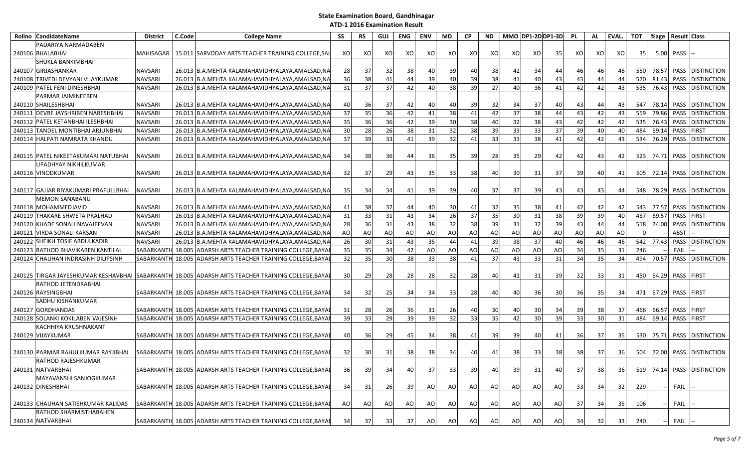|        | Rollno CandidateName                  | <b>District</b>   | C.Code | <b>College Name</b>                                                                                  | SS | RS | <b>GUJ</b>      | ENG | <b>ENV</b> | MD  | <b>CP</b>      | <b>ND</b>       | MMO DP1-2D DP1-3D |                 |     | PL | AL              | EVAL.           | <b>TOT</b> | %age  | <b>Result Class</b> |                            |
|--------|---------------------------------------|-------------------|--------|------------------------------------------------------------------------------------------------------|----|----|-----------------|-----|------------|-----|----------------|-----------------|-------------------|-----------------|-----|----|-----------------|-----------------|------------|-------|---------------------|----------------------------|
|        | PADARIYA NARMADABEN                   |                   |        |                                                                                                      |    |    |                 |     |            |     |                |                 |                   |                 |     |    |                 |                 |            |       |                     |                            |
|        | 240106 BHALABHAI                      | <b>MAHISAGAR</b>  |        | 15.011 SARVODAY ARTS TEACHER TRAINING COLLEGE, SAI                                                   | XO | XO | XO              | XO  | XO         | xo  | xo             | XO              | XO                | XO              | 35  | XO | XO              | xo              | 35         | 5.00  | PASS                |                            |
|        | SHUKLA BANKIMBHAI                     |                   |        |                                                                                                      |    |    |                 |     |            |     |                |                 |                   |                 |     |    |                 |                 |            |       |                     |                            |
|        | 240107 GIRJASHANKAR                   | <b>NAVSARI</b>    |        | 26.013 B.A.MEHTA KALAMAHAVIDHYALAYA,AMALSAD,NA                                                       | 28 | 37 | 32              | 38  | 40         | 39  | 40             | 38              | 42                | 34              | 44  | 46 | 46              | 46              | 550        | 78.57 |                     | PASS DISTINCTION           |
| 240108 | TRIVEDI DEVYANI VIJAYKUMAR            | <b>NAVSARI</b>    |        | 26.013 B.A.MEHTA KALAMAHAVIDHYALAYA, AMALSAD, NA                                                     | 36 | 38 | 41              | 44  | 39         | 40  | 39             | 38              | 41                | 40              | 43  | 43 | 44              | 44              | 570        | 81.43 | PASS                | <b>DISTINCTION</b>         |
|        | 240109 PATEL FENI DINESHBHAI          | <b>NAVSARI</b>    |        | 26.013 B.A.MEHTA KALAMAHAVIDHYALAYA, AMALSAD, NA                                                     | 31 | 37 | 37              | 42  | 40         | 38  | 39             | 27              | 40                | 36              | 41  | 42 | 42              | 43              | 535        | 76.43 |                     | PASS DISTINCTION           |
|        | PARMAR JAIMINEEBEN                    |                   |        |                                                                                                      |    |    |                 |     |            |     |                |                 |                   |                 |     |    |                 |                 |            |       |                     |                            |
|        | 240110 SHAILESHBHAI                   | <b>NAVSARI</b>    |        | 26.013  B.A.MEHTA KALAMAHAVIDHYALAYA,AMALSAD,NA                                                      | 40 | 36 | 37              | 42  | 40         | -40 | 39             | 32              | 34                | 37              | 40  | 43 | 44              | 43              | 547        | 78.14 |                     | PASS DISTINCTION           |
|        | 240111 DEVRE JAYSHRIBEN NARESHBHAI    | <b>NAVSARI</b>    | 26.013 | B.A.MEHTA KALAMAHAVIDHYALAYA.AMALSAD.NA                                                              | 37 | 35 | 36              | 42  | 41         | 38  | 41             | 42              | 37                | 38              | 44  | 43 | 42              | 43              | 559        | 79.86 |                     | PASS DISTINCTION           |
|        | 240112 PATEL KETANBHAI ILESHBHAI      | <b>NAVSARI</b>    |        | 26.013 B.A.MEHTA KALAMAHAVIDHYALAYA, AMALSAD, NA                                                     | 35 | 36 | 36              | 42  | 39         | 30  | 38             | 40              | 32                | 38              | 43  | 42 | 42              | 42              | 535        | 76.43 |                     | PASS DISTINCTION           |
|        | 240113 TANDEL MONTIBHAI ARJUNBHAI     | <b>NAVSARI</b>    |        | 26.013 B.A.MEHTA KALAMAHAVIDHYALAYA, AMALSAD, NA                                                     | 30 | 28 | 26              | 38  | 31         | 32  | 38             | 39              | 33                | 33              | 37  | 39 | 40              | 40              | 484        | 69.14 | PASS FIRST          |                            |
|        | 240114 HALPATI NAMRATA KHANDU         | <b>NAVSARI</b>    |        | 26.013 B.A.MEHTA KALAMAHAVIDHYALAYA, AMALSAD, NA                                                     | 37 | 39 | 33              | 41  | 39         | 32  | 41             | 33              | 33                | 38              | 41  | 42 | 42              | 43              | 534        | 76.29 |                     | PASS DISTINCTION           |
|        |                                       |                   |        |                                                                                                      |    |    |                 |     |            |     |                |                 |                   |                 |     |    |                 |                 |            |       |                     |                            |
|        | 240115   PATEL NIKEETAKUMARI NATUBHAI | <b>NAVSARI</b>    |        | 26.013 B.A.MEHTA KALAMAHAVIDHYALAYA,AMALSAD,NA                                                       | 34 | 38 | 36              | 44  | 36         | 35  | 39             | 28              | 35 <sub>l</sub>   | -29             | 42  | 42 | 43              | 42              | 523        | 74.71 |                     | <b>PASS DISTINCTION</b>    |
|        | UPADHYAY NIKHILKUMAR                  |                   |        |                                                                                                      |    |    |                 |     |            |     |                |                 |                   |                 |     |    |                 |                 |            |       |                     |                            |
|        | 240116 VINODKUMAR                     | <b>NAVSARI</b>    |        | 26.013 B.A.MEHTA KALAMAHAVIDHYALAYA,AMALSAD,NA                                                       | 32 | 37 | 29              | 43  | 35         | 33  | 38             | 40              | 30 <sup>1</sup>   | 31              | 37  | 39 | 40              | 41              | 505        | 72.14 |                     | PASS DISTINCTION           |
|        |                                       |                   |        |                                                                                                      |    |    |                 |     |            |     |                |                 |                   |                 |     |    |                 |                 |            |       |                     |                            |
|        | 240117 GAJJAR RIYAKUMARI PRAFULLBHAI  | <b>NAVSARI</b>    |        | 26.013 B.A.MEHTA KALAMAHAVIDHYALAYA,AMALSAD,NA                                                       | 35 | 34 | 34              | 41  | 39         | 39  | 40             | 37              | 37 <sup>l</sup>   | 39              | 43  | 43 | 43              | 44              | 548        | 78.29 |                     | PASS DISTINCTION           |
|        | <b>MEMON SANABANU</b>                 |                   |        |                                                                                                      |    |    |                 |     |            |     |                |                 |                   |                 |     |    |                 |                 |            |       |                     |                            |
|        | 240118 MOHAMMEDJAVID                  | <b>NAVSARI</b>    |        | 26.013  B.A.MEHTA KALAMAHAVIDHYALAYA,AMALSAD,NA                                                      | 41 | 38 | 37              | 44  | 40         | 30  | 41             | 32              | 35                | 38              | 41  | 42 | 42              | 42              | 543        | 77.57 |                     | PASS DISTINCTION           |
|        | 240119 THAKARE SHWETA PRALHAD         | <b>NAVSARI</b>    |        | 26.013 B.A.MEHTA KALAMAHAVIDHYALAYA.AMALSAD.NA                                                       | 31 | 33 | 31              | 43  | 34         | 26  | 37             | 35              | 30                | $\overline{31}$ | 38  | 39 | 39              | 40              | 487        | 69.57 | PASS FIRST          |                            |
|        | 240120 KHADE SONALI NAVAJEEVAN        | <b>NAVSARI</b>    |        | 26.013 B.A.MEHTA KALAMAHAVIDHYALAYA,AMALSAD,NA                                                       | 28 | 36 | 31              | 43  | 38         | 32  | 38             | 39              | 31                | 32              | 39  | 43 | 44              | 44              | 518        | 74.00 |                     | PASS DISTINCTION           |
|        | 240121 VIRDA SONALI KARSAN            | <b>NAVSARI</b>    |        | 26.013 B.A.MEHTA KALAMAHAVIDHYALAYA, AMALSAD, NA                                                     | AO | AO | AO              | AO  | AO         | AO  | A <sub>O</sub> | <b>AO</b>       | <b>AO</b>         | AO              | AO  | AO | AO              | AO              | $\Omega$   |       | ABST                |                            |
|        | 240122 SHEIKH TOSIF ABDULKADIR        | <b>NAVSARI</b>    |        | 26.013 B.A.MEHTA KALAMAHAVIDHYALAYA, AMALSAD, NA                                                     | 26 | 30 | 31              | 43  | 35         | 44  | 41             | 39              | 38                | 37              | 40  | 46 | 46              | 46              | 542        | 77.43 |                     | PASS DISTINCTION           |
|        | 240123 RATHOD BHAVIKABEN KANTILAL     | SABARKANTI        |        | 18.005 ADARSH ARTS TEACHER TRAINING COLLEGE, BAYA                                                    | 35 | 35 | 34              | 42  | AO         | AO  | AO             | AO              | <b>AO</b>         | A <sub>O</sub>  | AO  | 34 | 35              | 31              | 246        |       | FAIL                |                            |
|        | 240124 CHAUHAN INDRASINH DILIPSINH    | SABARKANTH 18.005 |        | ADARSH ARTS TEACHER TRAINING COLLEGE, BAYA                                                           | 32 | 35 | 30              | 38  | 33         | 38  | 41             | 37              | 43                | 33              | 31  | 34 | $\overline{35}$ | 34              | 494        | 70.57 |                     | PASS DISTINCTION           |
|        |                                       |                   |        |                                                                                                      |    |    |                 |     |            |     |                |                 |                   |                 |     |    |                 |                 |            |       |                     |                            |
|        |                                       |                   |        | 240125  TIRGAR JAYESHKUMAR KESHAVBHAI  SABARKANTH  18.005  ADARSH ARTS TEACHER TRAINING COLLEGE,BAYA | 30 | 29 | 28              | 28  | 28         | 32  | 28             | 40              | 41                | 31              | -39 | 32 | 33              | 31 I            | 450        | 64.29 | <b>PASS FIRST</b>   |                            |
|        | RATHOD JETENDRABHAI                   |                   |        |                                                                                                      |    |    |                 |     |            |     |                |                 |                   |                 |     |    |                 |                 |            |       |                     |                            |
|        | 240126 RAYSINGBHAI                    |                   |        | SABARKANTH 18.005 ADARSH ARTS TEACHER TRAINING COLLEGE, BAYA                                         | 34 | 32 | 25              | 34  | 34         | 33  | 28             | 40              | 40                | 36              | 30  | 36 | 35              | 34 I            | 471        | 67.29 | PASS FIRST          |                            |
|        | SADHU KISHANKUMAR                     |                   |        |                                                                                                      |    |    |                 |     |            |     |                |                 |                   |                 |     |    |                 |                 |            |       |                     |                            |
|        | 240127 GORDHANDAS                     |                   |        | SABARKANTH 18.005 ADARSH ARTS TEACHER TRAINING COLLEGE, BAYA                                         | 31 | 28 | 26              | 36  | 31         | 26  | 40             | 30 <sup>1</sup> | 40                | 30              | -34 | 39 | 38              | 37I             | 466        | 66.57 | PASS FIRST          |                            |
|        | 240128 SOLANKI KOKILABEN VAJESINH     | SABARKANTH        |        | 18.005 ADARSH ARTS TEACHER TRAINING COLLEGE, BAYA                                                    | 39 | 33 | $\overline{29}$ | 39  | 39         | 32  | 33             | 35              | 42                | $\overline{30}$ | 39  | 33 | 30              | 31              | 484        | 69.14 | PASS FIRST          |                            |
|        | KACHHIYA KRUSHNAKANT                  |                   |        |                                                                                                      |    |    |                 |     |            |     |                |                 |                   |                 |     |    |                 |                 |            |       |                     |                            |
|        | 240129 VIJAYKUMAR                     |                   |        | SABARKANTH 18.005 ADARSH ARTS TEACHER TRAINING COLLEGE, BAYA                                         | 40 | 36 | 29              | 45  | 34         | 38  | 41             | 39              | 39                | 40              | 41  | 36 | 37              | 35 <sup>1</sup> | 530        | 75.71 |                     | PASS DISTINCTION           |
|        |                                       |                   |        |                                                                                                      |    |    |                 |     |            |     |                |                 |                   |                 |     |    |                 |                 |            |       |                     |                            |
|        | 240130 PARMAR RAHULKUMAR RAYJIBHAI    |                   |        | SABARKANTH 18.005 ADARSH ARTS TEACHER TRAINING COLLEGE, BAYA                                         | 32 | 30 | 31              | 38  | 38         | 34  | 40             | 41              | 38                | 33              | 38  | 38 | 37              | 36              | 504        | 72.00 |                     | PASS DISTINCTION           |
|        | <b>RATHOD RAJESHKUMAR</b>             |                   |        |                                                                                                      |    |    |                 |     |            |     |                |                 |                   |                 |     |    |                 |                 |            |       |                     |                            |
|        | 240131 NATVARBHAI                     |                   |        | SABARKANTH 18.005 ADARSH ARTS TEACHER TRAINING COLLEGE, BAYAI                                        | 36 | 39 | 34              | 40  | 37         | 33  | 39             | 40              | 39                | 31              | 40  | 37 | 38              | 36              |            |       |                     | 519 74.14 PASS DISTINCTION |
|        | MAYAVANSHI SANJOGKUMAR                |                   |        |                                                                                                      |    |    |                 |     |            |     |                |                 |                   |                 |     |    |                 |                 |            |       |                     |                            |
|        | 240132 DINESHBHAI                     |                   |        | SABARKANTH 18.005 ADARSH ARTS TEACHER TRAINING COLLEGE, BAYAI                                        | 34 | 31 | 26              | 39  | AO         | AO  | AO             | <b>AO</b>       | AO                | AO              | AO  | 33 | 34              | 32              | 229        |       | FAIL                |                            |
|        |                                       |                   |        |                                                                                                      |    |    |                 |     |            |     |                |                 |                   |                 |     |    |                 |                 |            |       |                     |                            |
|        | 240133 CHAUHAN SATISHKUMAR KALIDAS    |                   |        | SABARKANTH 18.005 ADARSH ARTS TEACHER TRAINING COLLEGE, BAYAI                                        | AO |    | AO              |     |            |     | AO             |                 | AO                |                 |     | 37 | 34              | 35              |            |       | FAIL                |                            |
|        | RATHOD SHARMISTHABAHEN                |                   |        |                                                                                                      |    | AO |                 | AO  | AO         | AO  |                | AO              |                   | AO              | AO  |    |                 |                 | 106        |       |                     |                            |
|        |                                       |                   |        |                                                                                                      |    |    |                 |     |            |     |                |                 |                   |                 |     |    |                 |                 |            |       |                     |                            |
|        | 240134 NATVARBHAI                     |                   |        | SABARKANTH 18.005 ADARSH ARTS TEACHER TRAINING COLLEGE, BAYAI                                        | 34 | 37 | 33              | 37  | AO         | AO  | AO             | AO              | AO                | AO              | AO  | 34 | 32              | 33              | 240        |       | FAIL                |                            |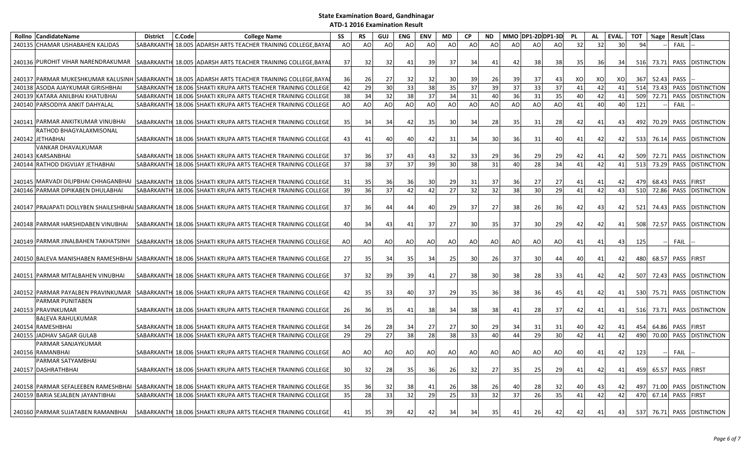| Rollno CandidateName                   | <b>District</b>   | C.Code | <b>College Name</b>                                                                                 | <b>SS</b> | <b>RS</b> | <b>GUJ</b> | ENG       | <b>ENV</b> | <b>MD</b> | <b>CP</b> | <b>ND</b>       |    | MMO DP1-2DDP1-3D |                 | <b>PL</b> | <b>AL</b> | EVAL. | <b>TOT</b> | %age  | <b>Result Class</b> |                        |
|----------------------------------------|-------------------|--------|-----------------------------------------------------------------------------------------------------|-----------|-----------|------------|-----------|------------|-----------|-----------|-----------------|----|------------------|-----------------|-----------|-----------|-------|------------|-------|---------------------|------------------------|
| 240135 CHAMAR USHABAHEN KALIDAS        | SABARKANTH        |        | 18.005 ADARSH ARTS TEACHER TRAINING COLLEGE, BAYA                                                   | AO        | AO        | AO         | AO        | AO         | AO        | AO        | AO              | AO | AO               | AO              | 32        | 32        | 30    | 94         |       | <b>FAIL</b>         |                        |
| 240136 PUROHIT VIHAR NARENDRAKUMAR     |                   |        | SABARKANTH 18.005 ADARSH ARTS TEACHER TRAINING COLLEGE, BAYA                                        | 37        | 32        | 32         | 41        | 39         | 37        | 34        | 41              | 42 | 38               | -38             | 35        | 36        | 34    | 516        | 73.71 |                     | PASS DISTINCTION       |
|                                        |                   |        |                                                                                                     |           |           |            |           |            |           |           |                 |    |                  |                 |           |           |       |            |       |                     |                        |
|                                        |                   |        | 240137 PARMAR MUKESHKUMAR KALUSINH SABARKANTH 18.005 ADARSH ARTS TEACHER TRAINING COLLEGE, BAYAI    | 36        | 26        | 27         | 32        | 32         | 30        | 39        | 26              | 39 | 37               | 43              | XO        | XO        | XO    | 367        | 52.43 | PASS                |                        |
| 240138 ASODA AJAYKUMAR GIRISHBHAI      | SABARKANTH        |        | 18.006 SHAKTI KRUPA ARTS TEACHER TRAINING COLLEGE                                                   | 42        | 29        | 30         | 33        | 38         | 35        | 37        | 39              | 37 | 33               | 37              | 41        | 42        | 41    | 514        | 73.43 |                     | PASS DISTINCTION       |
| 240139 KATARA ANILBHAI KHATUBHAI       |                   |        | SABARKANTH 18.006 SHAKTI KRUPA ARTS TEACHER TRAINING COLLEGE                                        | 38        | 34        | 32         | 38        | 37         | 34        | 31        | 40              | 36 | 31               | 35              | 40        | 42        | 41    | 509        | 72.71 |                     | PASS DISTINCTION       |
| 240140 PARSODIYA ANKIT DAHYALAL        | SABARKANTH        |        | 18.006 SHAKTI KRUPA ARTS TEACHER TRAINING COLLEGE                                                   | AO        | AO        | AO         | <b>AO</b> | AO         | AO        | AO        | AO              | AO | AO               | AO              | $41\,$    | 40        | 40    | 121        |       | FAIL                |                        |
| 240141 PARMAR ANKITKUMAR VINUBHAI      |                   |        | SABARKANTH 18.006 SHAKTI KRUPA ARTS TEACHER TRAINING COLLEGE                                        | 35        | 34        | 34         | 42        | 35         | 30        | 34        | 28              | 35 | 31               | 28              | 42        | 41        | 43    | 492        | 70.29 |                     | PASS DISTINCTION       |
| RATHOD BHAGYALAXMISONAL                |                   |        |                                                                                                     |           |           |            |           |            |           |           |                 |    |                  |                 |           |           |       |            |       |                     |                        |
| 240142 JETHABHAI                       |                   |        | SABARKANTH 18.006 SHAKTI KRUPA ARTS TEACHER TRAINING COLLEGE                                        | 43        | 41        | 40         | 40        | 42         | 31        | 34        | 30I             | 36 | 31               | 40              | 41        | 42        | 42    | 533        |       |                     | 76.14 PASS DISTINCTION |
| VANKAR DHAVALKUMAR                     |                   |        |                                                                                                     |           |           |            |           |            |           |           |                 |    |                  |                 |           |           |       |            |       |                     |                        |
| 240143 KARSANBHAI                      |                   |        | SABARKANTH 18.006 SHAKTI KRUPA ARTS TEACHER TRAINING COLLEGE                                        | 37        | 36        | 37         | 43        | 43         | 32        | 33        | 29 <sub>l</sub> | 36 | 29               | 29              | 42        | 41        | 42    | 509        | 72.71 |                     | PASS DISTINCTION       |
| 240144 RATHOD DIGVIJAY JETHABHAI       | <b>SABARKANTH</b> |        | 18.006 SHAKTI KRUPA ARTS TEACHER TRAINING COLLEGE                                                   | 37        | 38        | 37         | 37        | 39         | 30        | 38        | 31              | 40 | 28               | 34              | 41        | 42        | 41    | 513        | 73.29 |                     | PASS DISTINCTION       |
|                                        |                   |        |                                                                                                     |           |           |            |           |            |           |           |                 |    |                  |                 |           |           |       |            |       |                     |                        |
| 240145   MARVADI DILIPBHAI CHHAGANBHAI |                   |        | SABARKANTH 18.006 SHAKTI KRUPA ARTS TEACHER TRAINING COLLEGE                                        | 31        | 35        | 36         | 36        | 30         | 29        | 31        | 37              | 36 | 27               | 27              | 41        | 41        | 42    | 479        | 68.43 | PASS FIRST          |                        |
| 240146 PARMAR DIPIKABEN DHULABHAI      |                   |        | SABARKANTH 18.006 SHAKTI KRUPA ARTS TEACHER TRAINING COLLEGE                                        | 39        | 36        | 37         | 42        | 42         | 27        | 32        | 32              | 38 | 30               | 29              | 41        | 42        | 43    | 510        | 72.86 |                     | PASS DISTINCTION       |
|                                        |                   |        | 240147 PRAJAPATI DOLLYBEN SHAILESHBHAI SABARKANTH 18.006 SHAKTI KRUPA ARTS TEACHER TRAINING COLLEGE | 37        | 36        | 44         | 44        | 40         | 29        | 37        | 27              | 38 | 26               | 36              | 42        | 43        | 42    | 521        | 74.43 |                     | PASS DISTINCTION       |
| 240148 PARMAR HARSHIDABEN VINUBHAI     |                   |        | SABARKANTH 18.006 SHAKTI KRUPA ARTS TEACHER TRAINING COLLEGE                                        | 40        | 34        | 43         | 41        | 37         | 27        | 30        | <b>35</b>       | 37 | 30               | 29              | 42        | 42        | 41    | 508        | 72.57 |                     | PASS DISTINCTION       |
|                                        |                   |        |                                                                                                     |           |           |            |           |            |           |           |                 |    |                  |                 |           |           |       |            |       |                     |                        |
| 240149 PARMAR JINALBAHEN TAKHATSINH    |                   |        | SABARKANTH 18.006 SHAKTI KRUPA ARTS TEACHER TRAINING COLLEGE                                        | AO        | AO        | AO         | AO        | AO         | AO        | AO        | AO              | AO | AO               | AO              | 41        | 41        | 43    | 125        |       | FAIL                |                        |
|                                        |                   |        | 240150 BALEVA MANISHABEN RAMESHBHAI SABARKANTH 18.006 SHAKTI KRUPA ARTS TEACHER TRAINING COLLEGE    | 27        | 35        | 34         | 35        | 34         | 25        | 30        | <b>26</b>       | 37 | 30               | 44              | 40        | 41        | 42    | 480        |       | 68.57 PASS FIRST    |                        |
|                                        |                   |        |                                                                                                     |           |           |            |           |            |           |           |                 |    |                  |                 |           |           |       |            |       |                     |                        |
| 240151 PARMAR MITALBAHEN VINUBHAI      |                   |        | SABARKANTH 18.006 SHAKTI KRUPA ARTS TEACHER TRAINING COLLEGE                                        | 37        | 32        | 39         | 39        | 41         | 27        | 38        | 30 <sup>l</sup> | 38 | 28               | 33              | 41        | 42        | 42    | 507        | 72.43 |                     | PASS DISTINCTION       |
|                                        |                   |        |                                                                                                     |           |           |            |           |            |           |           |                 |    |                  |                 |           |           |       |            |       |                     |                        |
| 240152 PARMAR PAYALBEN PRAVINKUMAR     |                   |        | SABARKANTH 18.006 SHAKTI KRUPA ARTS TEACHER TRAINING COLLEGE                                        | 42        | 35        | 331        | 40        | 37         | 29        | 35        | 36              | 38 | 36               | 45              | 41        | 42        | 41    | 530        |       |                     | 75.71 PASS DISTINCTION |
| PARMAR PUNITABEN                       |                   |        |                                                                                                     |           |           |            |           |            |           |           |                 |    |                  |                 |           |           |       |            |       |                     |                        |
| 240153 PRAVINKUMAR                     |                   |        | SABARKANTH 18.006 SHAKTI KRUPA ARTS TEACHER TRAINING COLLEGE                                        | 26        | 36        | 35         | 41        | 38         | 34        | 38        | 38 <sup>l</sup> | 41 | 28               | 37              | 42        | 41        | 41    | 516        |       |                     | 73.71 PASS DISTINCTION |
| <b>BALEVA RAHULKUMAR</b>               |                   |        |                                                                                                     |           |           |            |           |            |           |           |                 |    |                  |                 |           |           |       |            |       |                     |                        |
| 240154 RAMESHBHAI                      |                   |        | SABARKANTH 18.006 SHAKTI KRUPA ARTS TEACHER TRAINING COLLEGE                                        | -34       | 26        | 28         | 34        | 27         | 27        | 30        | <b>29</b>       | 34 | 31               | -31             | 40        | 42        | 41    | 454        |       | 64.86 PASS FIRST    |                        |
| 240155 JADHAV SAGAR GULAB              |                   |        | SABARKANTH 18.006 SHAKTI KRUPA ARTS TEACHER TRAINING COLLEGE                                        | 29        | 29        | 27         | 38        | 28         | 38        | 33        | 40              | 44 | 29               | 30 <sup>°</sup> | 42        | 41        | 42    | 490        | 70.00 |                     | PASS DISTINCTION       |
| PARMAR SANJAYKUMAR                     |                   |        |                                                                                                     |           |           |            |           |            |           |           |                 |    |                  |                 |           |           |       |            |       |                     |                        |
| 240156 RAMANBHAI                       |                   |        | SABARKANTH 18.006 SHAKTI KRUPA ARTS TEACHER TRAINING COLLEGE                                        | AO        | AO        | AO         | AO        | AO         | AO        | AO        | AO              | AO | AO               | AO              | 40        | 41        | 42    | 123        |       | FAIL                |                        |
| PARMAR SATYAMBHAI                      |                   |        |                                                                                                     |           |           |            |           |            |           |           |                 |    |                  |                 |           |           |       |            |       |                     |                        |
| 240157 DASHRATHBHAI                    |                   |        | SABARKANTH 18.006 SHAKTI KRUPA ARTS TEACHER TRAINING COLLEGE                                        | 30 I      | 32        | <b>28</b>  | 35        | 36         | 26        | 32        | 27 <sub>l</sub> | 35 | 25               | -29             | 41        | 42        | 41    | 459        |       | 65.57 PASS FIRST    |                        |
| 240158 PARMAR SEFALEEBEN RAMESHBHAI    |                   |        | SABARKANTH 18.006 SHAKTI KRUPA ARTS TEACHER TRAINING COLLEGE                                        | 35        | 36        | 32         | 38        | 41         | 26        | 38        | <b>26</b>       | 40 | 28               | 32              | 40        | 43        | 42    | 497        | 71.00 |                     | PASS DISTINCTION       |
| 240159 BARIA SEJALBEN JAYANTIBHAI      | SABARKANTH        |        | 18.006 SHAKTI KRUPA ARTS TEACHER TRAINING COLLEGE                                                   | 35        | 28        | 33         | 32        | 29         | 25        | 33        | 32              | 37 | 26               | 35              | 41        | 42        | 42    | 470        | 67.14 | PASS FIRST          |                        |
|                                        |                   |        |                                                                                                     |           |           |            |           |            |           |           |                 |    |                  |                 |           |           |       |            |       |                     |                        |
| 240160 PARMAR SUJATABEN RAMANBHAI      |                   |        | SABARKANTH 18.006 SHAKTI KRUPA ARTS TEACHER TRAINING COLLEGE                                        | 41        | 35        | 39         | 42        | 42         | 34        | 34        | 35 <sup>1</sup> | 41 | 26               | 42              | 42        | 41        | 43    | 537        |       |                     | 76.71 PASS DISTINCTION |